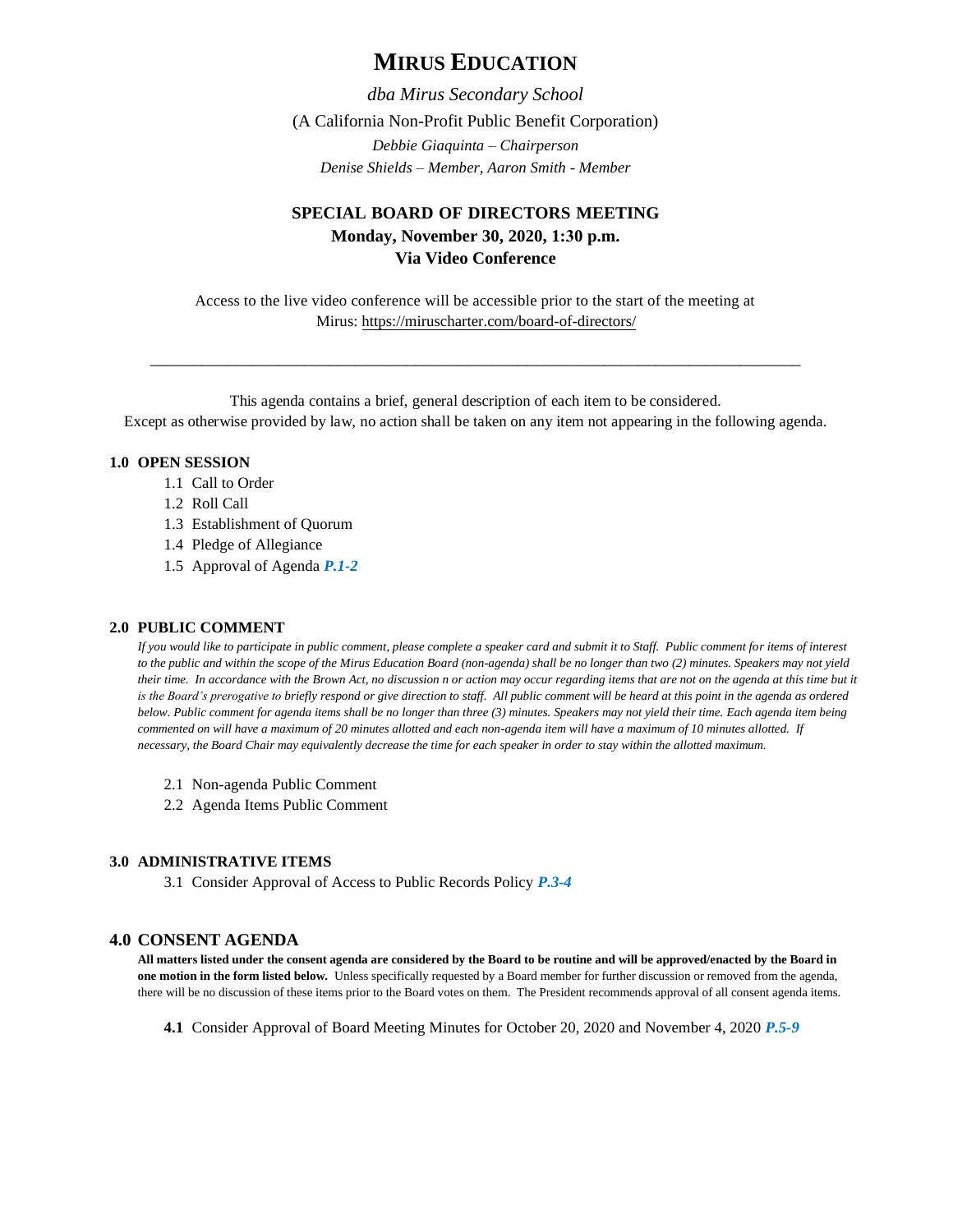# **MIRUS EDUCATION**

*dba Mirus Secondary School* 

(A California Non-Profit Public Benefit Corporation)

*Debbie Giaquinta – Chairperson Denise Shields – Member, Aaron Smith - Member* 

## **SPECIAL BOARD OF DIRECTORS MEETING Monday, November 30, 2020, 1:30 p.m. Via Video Conference**

Access to the live video conference will be accessible prior to the start of the meeting at Mirus:<https://miruscharter.com/board-of-directors/>

\_\_\_\_\_\_\_\_\_\_\_\_\_\_\_\_\_\_\_\_\_\_\_\_\_\_\_\_\_\_\_\_\_\_\_\_\_\_\_\_\_\_\_\_\_\_\_\_\_\_\_\_\_\_\_\_\_\_\_\_\_\_\_\_\_\_\_\_\_\_\_\_\_\_\_\_

This agenda contains a brief, general description of each item to be considered. Except as otherwise provided by law, no action shall be taken on any item not appearing in the following agenda.

## **1.0 OPEN SESSION**

- 1.1 Call to Order
- 1.2 Roll Call
- 1.3 Establishment of Quorum
- 1.4 Pledge of Allegiance
- 1.5 Approval of Agenda *P.1-2*

## **2.0 PUBLIC COMMENT**

*If you would like to participate in public comment, please complete a speaker card and submit it to Staff. Public comment for items of interest to the public and within the scope of the Mirus Education Board (non-agenda) shall be no longer than two (2) minutes. Speakers may not yield their time. In accordance with the Brown Act, no discussion n or action may occur regarding items that are not on the agenda at this time but it*  is the Board's prerogative to briefly respond or give direction to staff. All public comment will be heard at this point in the agenda as ordered *below. Public comment for agenda items shall be no longer than three (3) minutes. Speakers may not yield their time. Each agenda item being commented on will have a maximum of 20 minutes allotted and each non-agenda item will have a maximum of 10 minutes allotted. If necessary, the Board Chair may equivalently decrease the time for each speaker in order to stay within the allotted maximum.*

- 2.1 Non-agenda Public Comment
- 2.2 Agenda Items Public Comment

#### **3.0 ADMINISTRATIVE ITEMS**

3.1 Consider Approval of Access to Public Records Policy *P.3-4*

## **4.0 CONSENT AGENDA**

**All matters listed under the consent agenda are considered by the Board to be routine and will be approved/enacted by the Board in one motion in the form listed below.** Unless specifically requested by a Board member for further discussion or removed from the agenda, there will be no discussion of these items prior to the Board votes on them. The President recommends approval of all consent agenda items.

**4.1** Consider Approval of Board Meeting Minutes for October 20, 2020 and November 4, 2020 *P.5-9*